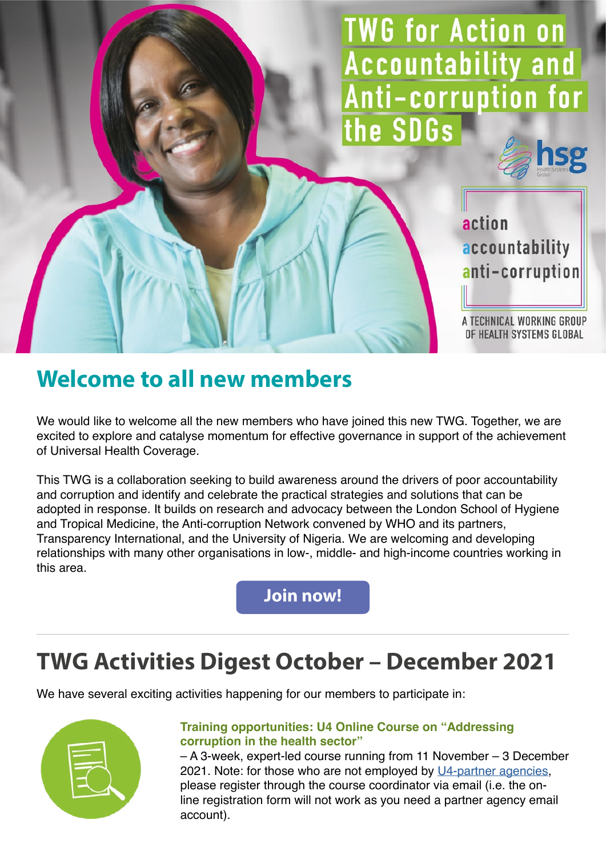**TWG for Action on Accountability and** Anti-corruption for the SDGs

> action accountability anti-corruption

A TECHNICAL WORKING GROUP OF HEALTH SYSTEMS GLOBAL

## **Welcome to all new members**

We would like to welcome all the new members who have joined this new TWG. Together, we are excited to explore and catalyse momentum for effective governance in support of the achievement of Universal Health Coverage.

This TWG is a collaboration seeking to build awareness around the drivers of poor accountability and corruption and identify and celebrate the practical strategies and solutions that can be adopted in response. It builds on research and advocacy between the London School of Hygiene and Tropical Medicine, the Anti-corruption Network convened by WHO and its partners, Transparency International, and the University of Nigeria. We are welcoming and developing relationships with many other organisations in low-, middle- and high-income countries working in this area.

**[Join now!](https://healthsystemsglobal.org/thematic-groups/action-on-accountability-and-anti-corruption-for-sdgs/)**

# **TWG Activities Digest October – December 2021**

We have several exciting activities happening for our members to participate in:



#### **Training opportunities: U4 Online Course on "Addressing corruption in the health sector"**

– A 3-week, expert-led course running from 11 November – 3 December 2021. Note: for those who are not employed by [U4-partner agencies,](https://www.u4.no/u4-partner-agencies) please register through the course coordinator via email (i.e. the online registration form will not work as you need a partner agency email account).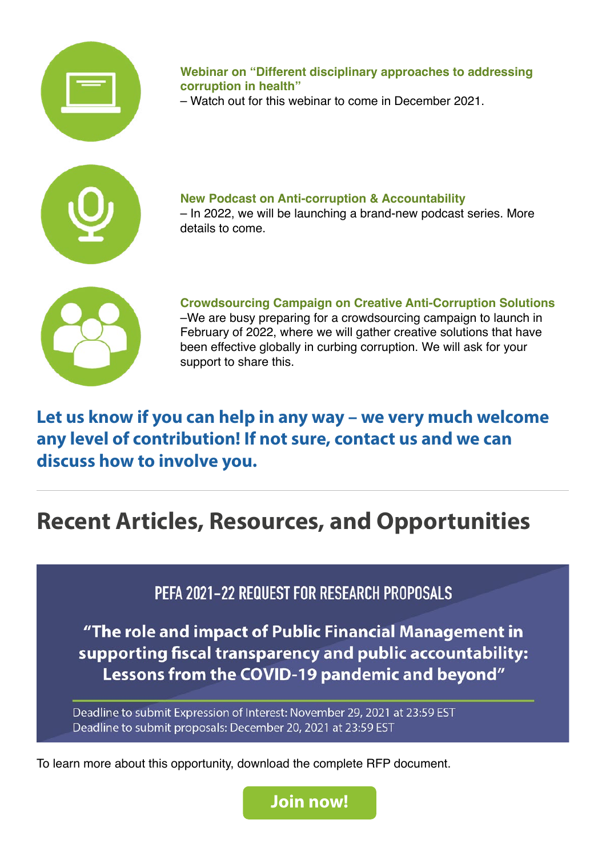

**Webinar on "Different disciplinary approaches to addressing corruption in health"**

– Watch out for this webinar to come in December 2021.



**New Podcast on Anti-corruption & Accountability** – In 2022, we will be launching a brand-new podcast series. More details to come.



**Crowdsourcing Campaign on Creative Anti-Corruption Solutions** –We are busy preparing for a crowdsourcing campaign to launch in February of 2022, where we will gather creative solutions that have been effective globally in curbing corruption. We will ask for your support to share this.

**Let us know if you can help in any way – we very much welcome any level of contribution! If not sure, contact us and we can discuss how to involve you.**

# **Recent Articles, Resources, and Opportunities**

PEFA 2021-22 REQUEST FOR RESEARCH PROPOSALS

"The role and impact of Public Financial Management in supporting fiscal transparency and public accountability: Lessons from the COVID-19 pandemic and beyond"

Deadline to submit Expression of Interest: November 29, 2021 at 23:59 EST Deadline to submit proposals: December 20, 2021 at 23:59 EST

To learn more about this opportunity, download the complete RFP document.

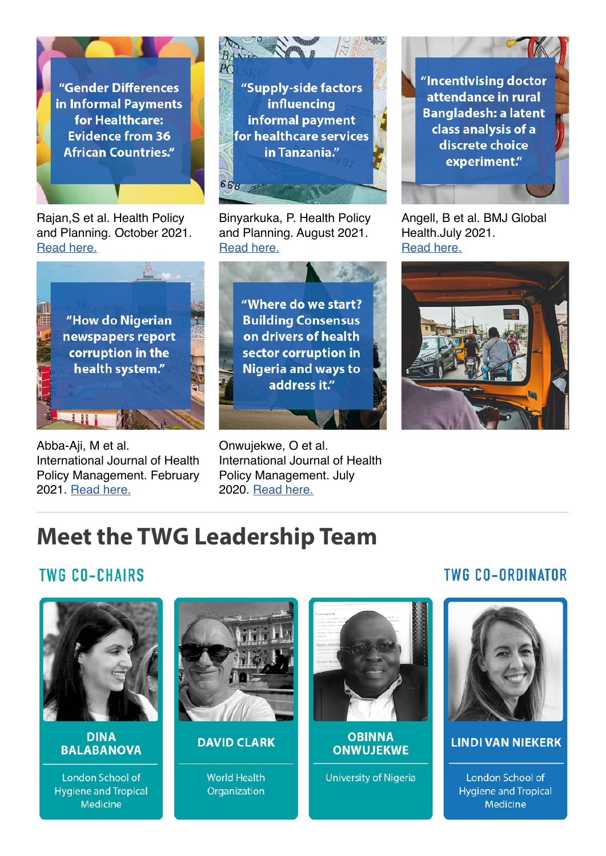"Gender Differences in Informal Payments for Healthcare: **Evidence from 36 African Countries."** 

Rajan,S et al. Health Policy and Planning. October 2021. [Read here.](https://academic.oup.com/heapol/advance-article-abstract/doi/10.1093/heapol/czab123/6400416?redirectedFrom=fulltext)



Abba-Aji, M et al. International Journal of Health Policy Management. February 2021. [Read here.](https://pubmed.ncbi.nlm.nih.gov/32610718/)



Binyarkuka, P. Health Policy and Planning. August 2021. [Read here.](https://academic.oup.com/heapol/article/36/7/1036/6280169)



Onwujekwe, O et al. International Journal of Health Policy Management. July 2020. [Read here.](https://pubmed.ncbi.nlm.nih.gov/32613800/)

"Incentivising doctor attendance in rural **Bangladesh: a latent** class analysis of a discrete choice experiment."

Angell, B et al. BMJ Global Health.July 2021. [Read here.](https://pubmed.ncbi.nlm.nih.gov/34326070/)



## **Meet the TWG Leadership Team**

### **TWG CO-CHAIRS**



**DINA BALABANOVA** 

London School of **Hygiene and Tropical** Medicine



#### **DAVID CLARK**

**World Health** Organization



**OBINNA ONWUJEKWE** 

**University of Nigeria** 

### **TWG CO-ORDINATOR**



#### **LINDI VAN NIEKERK**

**London School of Hygiene and Tropical** Medicine